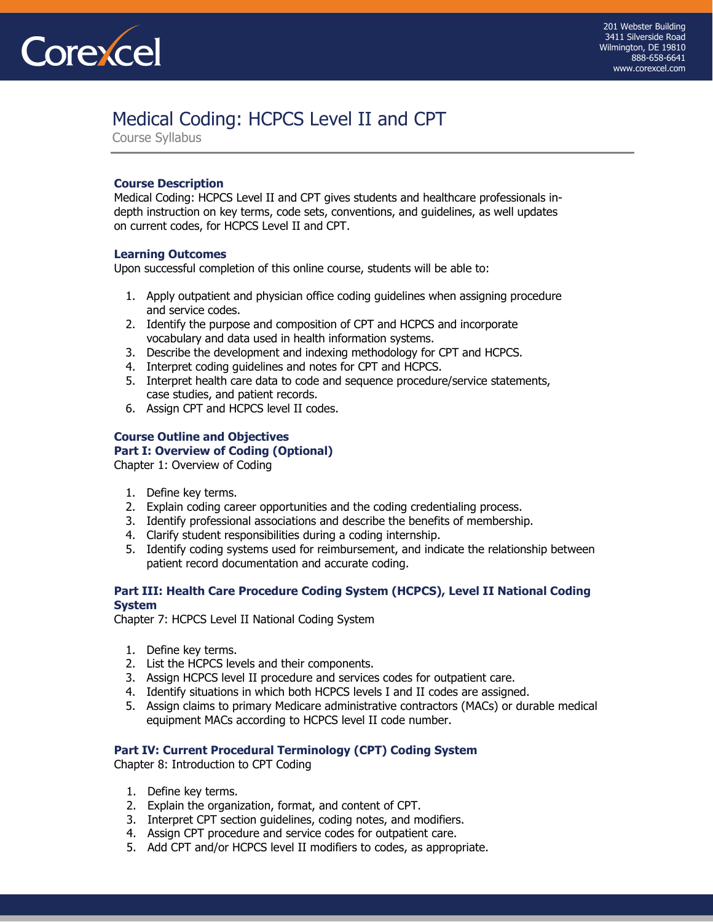

# [Medical Coding: HCPCS Level II and CPT](https://www.corexcel.com/coding-courses/procedure-coding.php)

Course Syllabus

## **Course Description**

Medical Coding: HCPCS Level II and CPT gives students and healthcare professionals indepth instruction on key terms, code sets, conventions, and guidelines, as well updates on current codes, for HCPCS Level II and CPT.

## **Learning Outcomes**

Upon successful completion of this online course, students will be able to:

- 1. Apply outpatient and physician office coding guidelines when assigning procedure and service codes.
- 2. Identify the purpose and composition of CPT and HCPCS and incorporate vocabulary and data used in health information systems.
- 3. Describe the development and indexing methodology for CPT and HCPCS.
- 4. Interpret coding guidelines and notes for CPT and HCPCS.
- 5. Interpret health care data to code and sequence procedure/service statements, case studies, and patient records.
- 6. Assign CPT and HCPCS level II codes.

### **Course Outline and Objectives Part I: Overview of Coding (Optional)**

Chapter 1: Overview of Coding

- 1. Define key terms.
- 2. Explain coding career opportunities and the coding credentialing process.
- 3. Identify professional associations and describe the benefits of membership.
- 4. Clarify student responsibilities during a coding internship.
- 5. Identify coding systems used for reimbursement, and indicate the relationship between patient record documentation and accurate coding.

## **Part III: Health Care Procedure Coding System (HCPCS), Level II National Coding System**

Chapter 7: HCPCS Level II National Coding System

- 1. Define key terms.
- 2. List the HCPCS levels and their components.
- 3. Assign HCPCS level II procedure and services codes for outpatient care.
- 4. Identify situations in which both HCPCS levels I and II codes are assigned.
- 5. Assign claims to primary Medicare administrative contractors (MACs) or durable medical equipment MACs according to HCPCS level II code number.

## **Part IV: Current Procedural Terminology (CPT) Coding System**

Chapter 8: Introduction to CPT Coding

- 1. Define key terms.
- 2. Explain the organization, format, and content of CPT.
- 3. Interpret CPT section guidelines, coding notes, and modifiers.
- 4. Assign CPT procedure and service codes for outpatient care.
- 5. Add CPT and/or HCPCS level II modifiers to codes, as appropriate.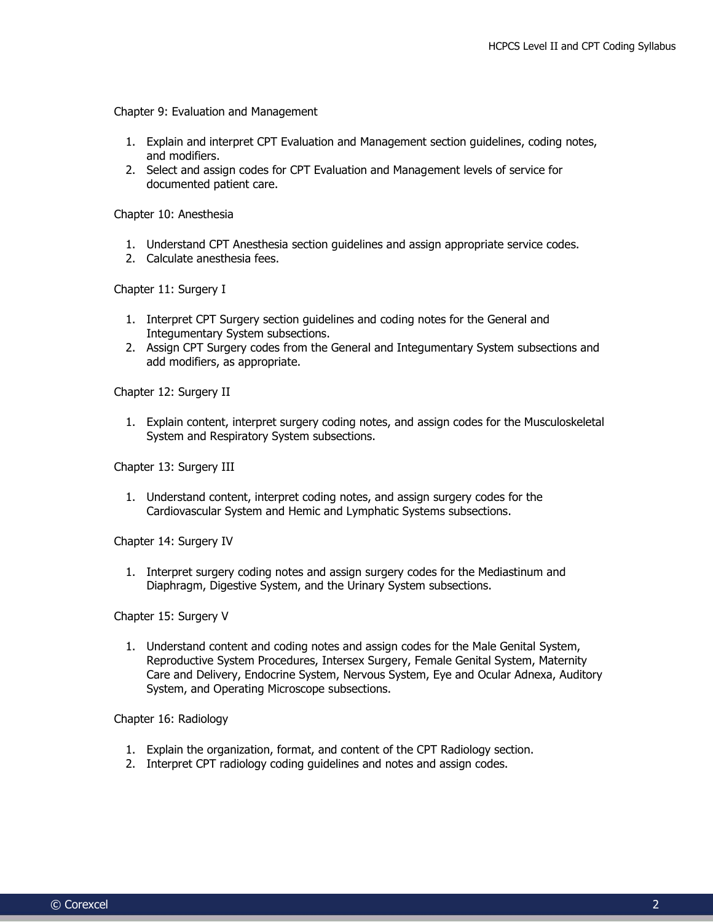Chapter 9: Evaluation and Management

- 1. Explain and interpret CPT Evaluation and Management section guidelines, coding notes, and modifiers.
- 2. Select and assign codes for CPT Evaluation and Management levels of service for documented patient care.

Chapter 10: Anesthesia

- 1. Understand CPT Anesthesia section guidelines and assign appropriate service codes.
- 2. Calculate anesthesia fees.

Chapter 11: Surgery I

- 1. Interpret CPT Surgery section guidelines and coding notes for the General and Integumentary System subsections.
- 2. Assign CPT Surgery codes from the General and Integumentary System subsections and add modifiers, as appropriate.

Chapter 12: Surgery II

1. Explain content, interpret surgery coding notes, and assign codes for the Musculoskeletal System and Respiratory System subsections.

Chapter 13: Surgery III

1. Understand content, interpret coding notes, and assign surgery codes for the Cardiovascular System and Hemic and Lymphatic Systems subsections.

Chapter 14: Surgery IV

1. Interpret surgery coding notes and assign surgery codes for the Mediastinum and Diaphragm, Digestive System, and the Urinary System subsections.

Chapter 15: Surgery V

1. Understand content and coding notes and assign codes for the Male Genital System, Reproductive System Procedures, Intersex Surgery, Female Genital System, Maternity Care and Delivery, Endocrine System, Nervous System, Eye and Ocular Adnexa, Auditory System, and Operating Microscope subsections.

Chapter 16: Radiology

- 1. Explain the organization, format, and content of the CPT Radiology section.
- 2. Interpret CPT radiology coding guidelines and notes and assign codes.